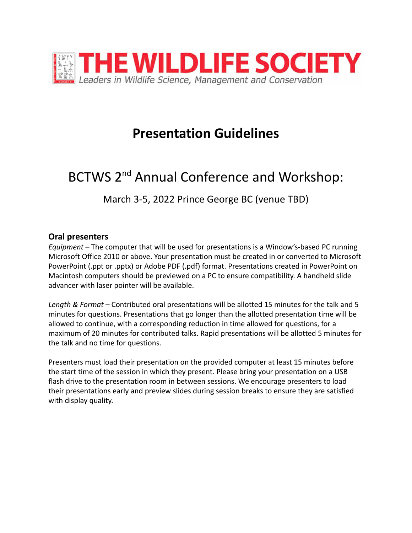

## **Presentation Guidelines**

# BCTWS 2<sup>nd</sup> Annual Conference and Workshop:

March 3-5, 2022 Prince George BC (venue TBD)

#### **Oral presenters**

*Equipment –* The computer that will be used for presentations is a Window's-based PC running Microsoft Office 2010 or above. Your presentation must be created in or converted to Microsoft PowerPoint (.ppt or .pptx) or Adobe PDF (.pdf) format. Presentations created in PowerPoint on Macintosh computers should be previewed on a PC to ensure compatibility. A handheld slide advancer with laser pointer will be available.

*Length & Format –* Contributed oral presentations will be allotted 15 minutes for the talk and 5 minutes for questions. Presentations that go longer than the allotted presentation time will be allowed to continue, with a corresponding reduction in time allowed for questions, for a maximum of 20 minutes for contributed talks. Rapid presentations will be allotted 5 minutes for the talk and no time for questions.

Presenters must load their presentation on the provided computer at least 15 minutes before the start time of the session in which they present. Please bring your presentation on a USB flash drive to the presentation room in between sessions. We encourage presenters to load their presentations early and preview slides during session breaks to ensure they are satisfied with display quality.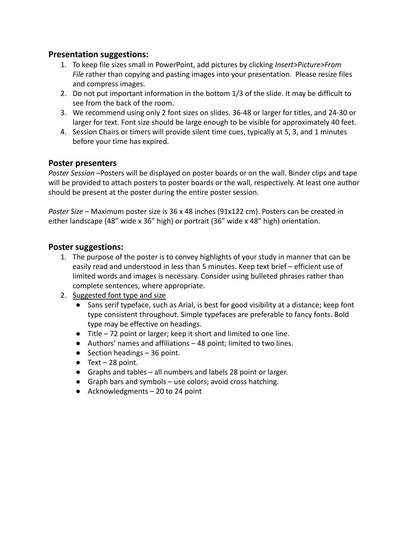#### **Presentation suggestions:**

- 1. To keep file sizes small in PowerPoint, add pictures by clicking *Insert>Picture>From File* rather than copying and pasting images into your presentation. Please resize files and compress images.
- 2. Do not put important information in the bottom 1/3 of the slide. It may be difficult to see from the back of the room.
- 3. We recommend using only 2 font sizes on slides. 36-48 or larger for titles, and 24-30 or larger for text. Font size should be large enough to be visible for approximately 40 feet.
- 4. Session Chairs or timers will provide silent time cues, typically at 5, 3, and 1 minutes before your time has expired.

#### **Poster presenters**

*Poster Session –*Posters will be displayed on poster boards or on the wall. Binder clips and tape will be provided to attach posters to poster boards or the wall, respectively. At least one author should be present at the poster during the entire poster session.

*Poster Size –* Maximum poster size is 36 x 48 inches (91x122 cm). Posters can be created in either landscape (48" wide x 36" high) or portrait (36" wide x 48" high) orientation.

#### **Poster suggestions:**

- 1. The purpose of the poster is to convey highlights of your study in manner that can be easily read and understood in less than 5 minutes. Keep text brief – efficient use of limited words and images is necessary. Consider using bulleted phrases rather than complete sentences, where appropriate.
- 2. Suggested font type and size
	- Sans serif typeface, such as Arial, is best for good visibility at a distance; keep font type consistent throughout. Simple typefaces are preferable to fancy fonts. Bold type may be effective on headings.
	- Title 72 point or larger; keep it short and limited to one line.
	- Authors' names and affiliations 48 point; limited to two lines.
	- $\bullet$  Section headings  $-36$  point.
	- $\bullet$  Text 28 point.
	- Graphs and tables all numbers and labels 28 point or larger.
	- Graph bars and symbols use colors; avoid cross hatching.
	- $\bullet$  Acknowledgments 20 to 24 point